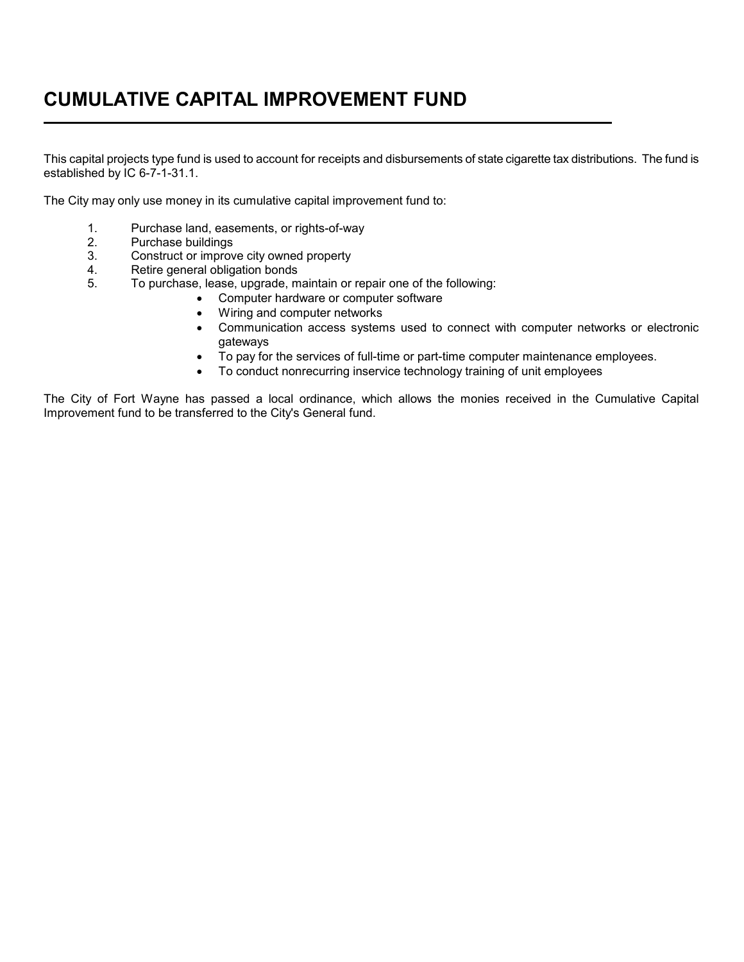## **CUMULATIVE CAPITAL IMPROVEMENT FUND**   $\overline{a}$

This capital projects type fund is used to account for receipts and disbursements of state cigarette tax distributions. The fund is established by IC 6-7-1-31.1.

The City may only use money in its cumulative capital improvement fund to:

- 1. Purchase land, easements, or rights-of-way<br>2. Purchase buildings
- 2. Purchase buildings<br>3. Construct or improv
- Construct or improve city owned property
- 4. Retire general obligation bonds
- 5. To purchase, lease, upgrade, maintain or repair one of the following:
	- Computer hardware or computer software
		- Wiring and computer networks
		- Communication access systems used to connect with computer networks or electronic gateways
	- To pay for the services of full-time or part-time computer maintenance employees.
	- To conduct nonrecurring inservice technology training of unit employees

The City of Fort Wayne has passed a local ordinance, which allows the monies received in the Cumulative Capital Improvement fund to be transferred to the City's General fund.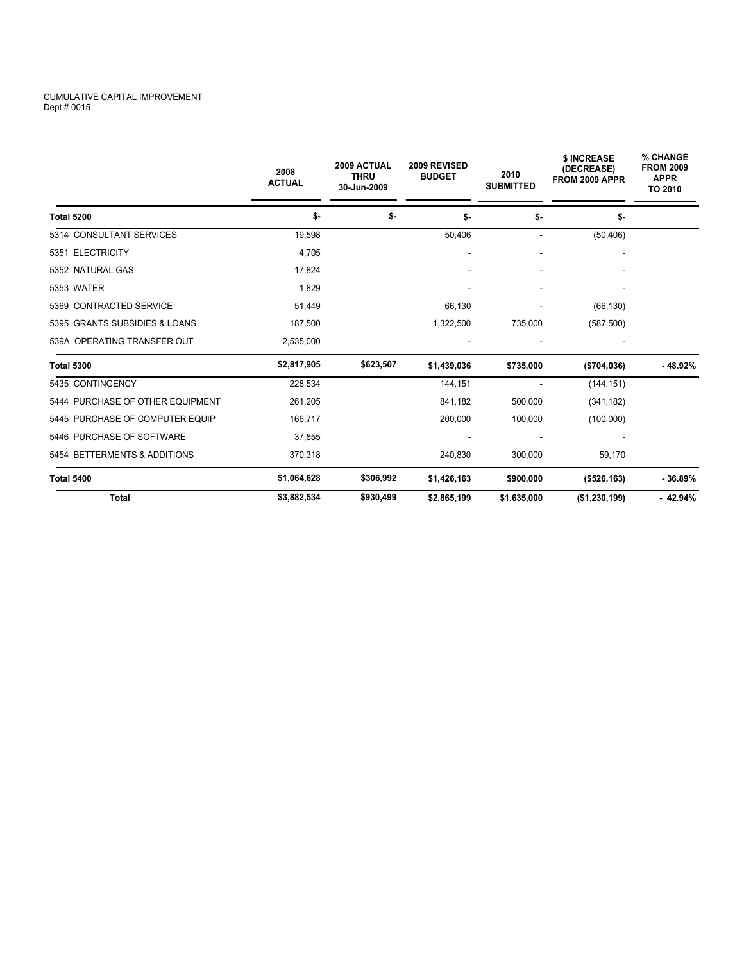## CUMULATIVE CAPITAL IMPROVEMENT Dept # 0015

|                                  | 2008<br><b>ACTUAL</b> | 2009 ACTUAL<br><b>THRU</b><br>30-Jun-2009 | 2009 REVISED<br><b>BUDGET</b> | 2010<br><b>SUBMITTED</b> | \$ INCREASE<br>(DECREASE)<br>FROM 2009 APPR | % CHANGE<br><b>FROM 2009</b><br><b>APPR</b><br>TO 2010 |
|----------------------------------|-----------------------|-------------------------------------------|-------------------------------|--------------------------|---------------------------------------------|--------------------------------------------------------|
| <b>Total 5200</b>                | \$-                   | \$-                                       | \$-                           | \$-                      | \$-                                         |                                                        |
| 5314 CONSULTANT SERVICES         | 19,598                |                                           | 50,406                        | $\overline{\phantom{a}}$ | (50, 406)                                   |                                                        |
| 5351 ELECTRICITY                 | 4,705                 |                                           |                               |                          |                                             |                                                        |
| 5352 NATURAL GAS                 | 17,824                |                                           |                               |                          |                                             |                                                        |
| <b>5353 WATER</b>                | 1.829                 |                                           |                               |                          |                                             |                                                        |
| 5369 CONTRACTED SERVICE          | 51,449                |                                           | 66,130                        |                          | (66, 130)                                   |                                                        |
| 5395 GRANTS SUBSIDIES & LOANS    | 187,500               |                                           | 1,322,500                     | 735,000                  | (587, 500)                                  |                                                        |
| 539A OPERATING TRANSFER OUT      | 2,535,000             |                                           |                               |                          |                                             |                                                        |
| <b>Total 5300</b>                | \$2,817,905           | \$623,507                                 | \$1,439,036                   | \$735,000                | (\$704,036)                                 | $-48.92%$                                              |
| 5435 CONTINGENCY                 | 228,534               |                                           | 144,151                       |                          | (144, 151)                                  |                                                        |
| 5444 PURCHASE OF OTHER EQUIPMENT | 261,205               |                                           | 841,182                       | 500,000                  | (341, 182)                                  |                                                        |
| 5445 PURCHASE OF COMPUTER EQUIP  | 166,717               |                                           | 200,000                       | 100,000                  | (100,000)                                   |                                                        |
| 5446 PURCHASE OF SOFTWARE        | 37,855                |                                           |                               |                          |                                             |                                                        |
| 5454 BETTERMENTS & ADDITIONS     | 370,318               |                                           | 240,830                       | 300,000                  | 59,170                                      |                                                        |
| <b>Total 5400</b>                | \$1,064,628           | \$306,992                                 | \$1,426,163                   | \$900,000                | (\$526, 163)                                | $-36.89%$                                              |
| <b>Total</b>                     | \$3,882,534           | \$930,499                                 | \$2,865,199                   | \$1,635,000              | (\$1,230,199)                               | $-42.94%$                                              |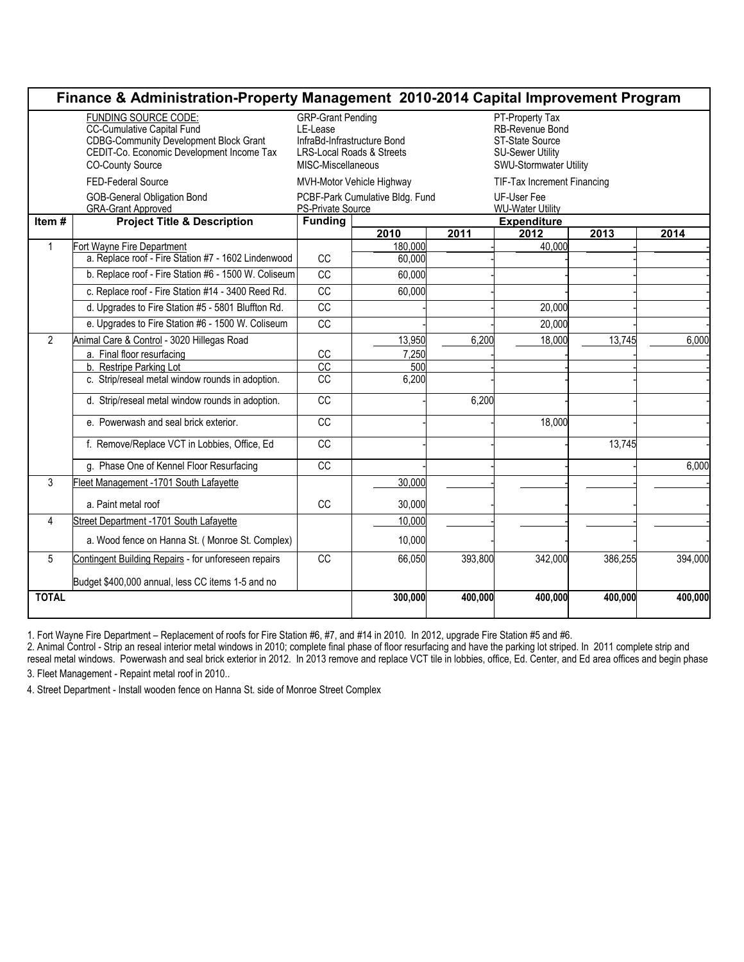| Finance & Administration-Property Management 2010-2014 Capital Improvement Program                                                                                                 |                                                                 |                                                                                                                                   |                    |         |                                                                                                            |         |         |  |
|------------------------------------------------------------------------------------------------------------------------------------------------------------------------------------|-----------------------------------------------------------------|-----------------------------------------------------------------------------------------------------------------------------------|--------------------|---------|------------------------------------------------------------------------------------------------------------|---------|---------|--|
| FUNDING SOURCE CODE:<br><b>CC-Cumulative Capital Fund</b><br><b>CDBG-Community Development Block Grant</b><br>CEDIT-Co. Economic Development Income Tax<br><b>CO-County Source</b> |                                                                 | <b>GRP-Grant Pending</b><br>LE-Lease<br>InfraBd-Infrastructure Bond<br><b>LRS-Local Roads &amp; Streets</b><br>MISC-Miscellaneous |                    |         | PT-Property Tax<br>RB-Revenue Bond<br>ST-State Source<br><b>SU-Sewer Utility</b><br>SWU-Stormwater Utility |         |         |  |
|                                                                                                                                                                                    | FED-Federal Source                                              | MVH-Motor Vehicle Highway                                                                                                         |                    |         | <b>TIF-Tax Increment Financing</b>                                                                         |         |         |  |
|                                                                                                                                                                                    | <b>GOB-General Obligation Bond</b><br><b>GRA-Grant Approved</b> | PCBF-Park Cumulative Bldg. Fund<br>PS-Private Source                                                                              |                    |         | UF-User Fee<br><b>WU-Water Utility</b>                                                                     |         |         |  |
| Item $\frac{1}{4}$                                                                                                                                                                 | <b>Project Title &amp; Description</b>                          | <b>Funding</b>                                                                                                                    | <b>Expenditure</b> |         |                                                                                                            |         |         |  |
| $\mathbf{1}$                                                                                                                                                                       | Fort Wayne Fire Department                                      |                                                                                                                                   | 2010<br>180,000    | 2011    | 2012<br>40.000                                                                                             | 2013    | 2014    |  |
|                                                                                                                                                                                    | a. Replace roof - Fire Station #7 - 1602 Lindenwood             | CC                                                                                                                                | 60,000             |         |                                                                                                            |         |         |  |
|                                                                                                                                                                                    | b. Replace roof - Fire Station #6 - 1500 W. Coliseum            | $\overline{cc}$                                                                                                                   | 60,000             |         |                                                                                                            |         |         |  |
|                                                                                                                                                                                    | c. Replace roof - Fire Station #14 - 3400 Reed Rd.              | CC                                                                                                                                | 60.000             |         |                                                                                                            |         |         |  |
|                                                                                                                                                                                    | d. Upgrades to Fire Station #5 - 5801 Bluffton Rd.              | CC                                                                                                                                |                    |         | 20,000                                                                                                     |         |         |  |
|                                                                                                                                                                                    | e. Upgrades to Fire Station #6 - 1500 W. Coliseum               | <b>CC</b>                                                                                                                         |                    |         | 20,000                                                                                                     |         |         |  |
| $\mathcal{P}$                                                                                                                                                                      | Animal Care & Control - 3020 Hillegas Road                      |                                                                                                                                   | 13,950             | 6,200   | 18,000                                                                                                     | 13,745  | 6,000   |  |
|                                                                                                                                                                                    | a. Final floor resurfacing                                      | CC                                                                                                                                | 7,250              |         |                                                                                                            |         |         |  |
|                                                                                                                                                                                    | b. Restripe Parking Lot                                         | $\overline{cc}$                                                                                                                   | 500                |         |                                                                                                            |         |         |  |
|                                                                                                                                                                                    | c. Strip/reseal metal window rounds in adoption.                | CC                                                                                                                                | 6,200              |         |                                                                                                            |         |         |  |
|                                                                                                                                                                                    | d. Strip/reseal metal window rounds in adoption.                | CC                                                                                                                                |                    | 6,200   |                                                                                                            |         |         |  |
|                                                                                                                                                                                    | e. Powerwash and seal brick exterior.                           | CC                                                                                                                                |                    |         | 18,000                                                                                                     |         |         |  |
|                                                                                                                                                                                    | f. Remove/Replace VCT in Lobbies, Office, Ed                    | $\overline{cc}$                                                                                                                   |                    |         |                                                                                                            | 13,745  |         |  |
|                                                                                                                                                                                    | g. Phase One of Kennel Floor Resurfacing                        | CC                                                                                                                                |                    |         |                                                                                                            |         | 6,000   |  |
| 3                                                                                                                                                                                  | Fleet Management - 1701 South Lafayette                         |                                                                                                                                   | 30,000             |         |                                                                                                            |         |         |  |
|                                                                                                                                                                                    | a. Paint metal roof                                             | <b>CC</b>                                                                                                                         | 30,000             |         |                                                                                                            |         |         |  |
| 4                                                                                                                                                                                  | Street Department -1701 South Lafayette                         |                                                                                                                                   | 10,000             |         |                                                                                                            |         |         |  |
|                                                                                                                                                                                    | a. Wood fence on Hanna St. (Monroe St. Complex)                 |                                                                                                                                   | 10,000             |         |                                                                                                            |         |         |  |
| 5                                                                                                                                                                                  | Contingent Building Repairs - for unforeseen repairs            | <b>CC</b>                                                                                                                         | 66,050             | 393,800 | 342,000                                                                                                    | 386,255 | 394,000 |  |
|                                                                                                                                                                                    | Budget \$400,000 annual, less CC items 1-5 and no               |                                                                                                                                   |                    |         |                                                                                                            |         |         |  |
| <b>TOTAL</b>                                                                                                                                                                       |                                                                 |                                                                                                                                   | 300,000            | 400,000 | 400.000                                                                                                    | 400.000 | 400,000 |  |

٦ 1. Fort Wayne Fire Department – Replacement of roofs for Fire Station #6, #7, and #14 in 2010. In 2012, upgrade Fire Station #5 and #6.

2. Animal Control - Strip an reseal interior metal windows in 2010; complete final phase of floor resurfacing and have the parking lot striped. In 2011 complete strip and reseal metal windows. Powerwash and seal brick exterior in 2012. In 2013 remove and replace VCT tile in lobbies, office, Ed. Center, and Ed area offices and begin phase 3. Fleet Management - Repaint metal roof in 2010..

4. Street Department - Install wooden fence on Hanna St. side of Monroe Street Complex